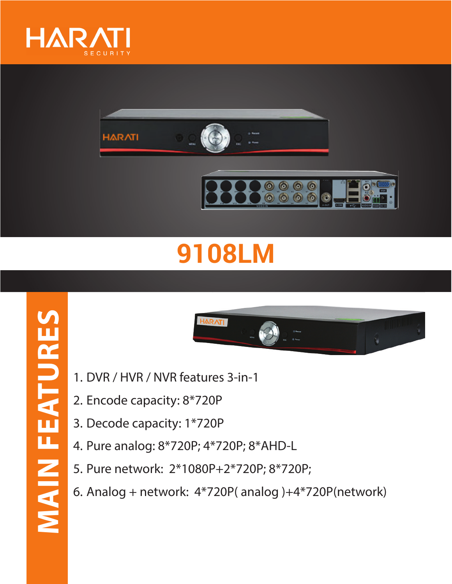





## **9108LM**



- 1. DVR / HVR / NVR features 3-in-1
- 2. Encode capacity: 8\*720P
- 3. Decode capacity: 1\*720P
- 4. Pure analog: 8\*720P; 4\*720P; 8\*AHD-L
- 5. Pure network: 2\*1080P+2\*720P; 8\*720P;
- 6. Analog + network: 4\*720P( analog )+4\*720P(network)